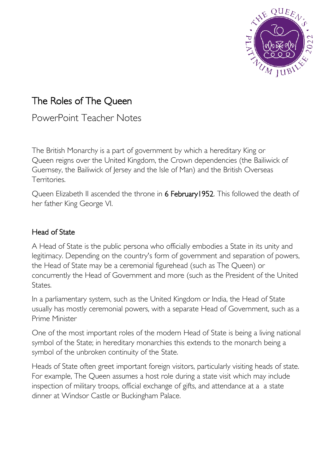

# The Roles of The Queen

PowerPoint Teacher Notes

The British Monarchy is a part of government by which a [hereditary King](https://en.wikipedia.org/wiki/Hereditary_monarchy) or Queen reigns over the [United Kingdom,](https://en.wikipedia.org/wiki/United_Kingdom) the [Crown dependencies](https://en.wikipedia.org/wiki/Crown_dependencies) (the [Bailiwick of](https://en.wikipedia.org/wiki/Bailiwick_of_Guernsey)  [Guernsey,](https://en.wikipedia.org/wiki/Bailiwick_of_Guernsey) the [Bailiwick of Jersey](https://en.wikipedia.org/wiki/Bailiwick_of_Jersey) and the [Isle of Man\)](https://en.wikipedia.org/wiki/Isle_of_Man) and the [British Overseas](https://en.wikipedia.org/wiki/British_Overseas_Territories)  [Territories.](https://en.wikipedia.org/wiki/British_Overseas_Territories)

Queen [Elizabeth II](https://en.wikipedia.org/wiki/Elizabeth_II) ascended the throne in 6 February 1952. This followed the death of her father King George VI.

#### Head of State

A Head of State is the public [persona](https://en.wikipedia.org/wiki/Persona) who officially embodies a [State](https://en.wikipedia.org/wiki/State_(polity)) in its unity and legitimacy. Depending on the country's [form of government](https://en.wikipedia.org/wiki/Form_of_government) and [separation of powers,](https://en.wikipedia.org/wiki/Separation_of_powers) the Head of State may be a ceremonial [figurehead](https://en.wikipedia.org/wiki/Figurehead) (such as The [Queen\)](https://en.wikipedia.org/wiki/British_Monarch) or concurrently the [Head of Government](https://en.wikipedia.org/wiki/Head_of_government) and more (such as the [President of the United](https://en.wikipedia.org/wiki/President_of_the_United_States)  [States.](https://en.wikipedia.org/wiki/President_of_the_United_States)

In a [parliamentary system,](https://en.wikipedia.org/wiki/Parliamentary_system) such as the [United Kingdom](https://en.wikipedia.org/wiki/Politics_of_the_United_Kingdom) or [India,](https://en.wikipedia.org/wiki/Politics_of_India) the Head of State usually has mostly ceremonial powers, with a separate Head of Government, such as a Prime Minister

One of the most important roles of the modern Head of State is being a living [national](https://en.wikipedia.org/wiki/National_symbol)  [symbol](https://en.wikipedia.org/wiki/National_symbol) of the State; in hereditary monarchies this extends to the monarch being a symbol of the unbroken continuity of the State.

Heads of State often greet important foreign visitors, particularly visiting heads of state. For example, The Queen assumes a host role during a [state visit](https://en.wikipedia.org/wiki/State_visit) which may include inspection of [military troops,](https://en.wikipedia.org/wiki/Guard_of_honour) official exchange of gifts, and attendance at a a [state](https://en.wikipedia.org/wiki/State_dinner)  [dinner](https://en.wikipedia.org/wiki/State_dinner) at Windsor Castle or Buckingham Palace.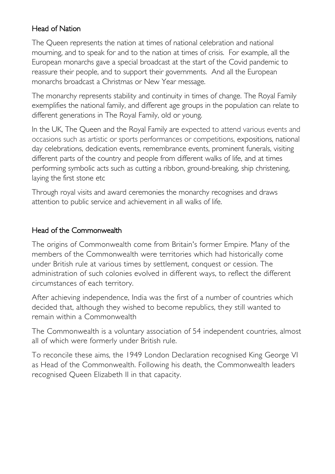# Head of Nation

The Queen represents the nation at times of national celebration and national mourning, and to speak for and to the nation at times of crisis. For example, all the European monarchs gave a special [broadcast](https://constitution-unit.com/2020/04/12/coronavirus-how-europes-monarchs-stepped-up-as-their-nations-faced-the-crisis/) at the start of the Covid pandemic to reassure their people, and to support their governments. And all the European monarchs broadcast a Christmas or New Year message.

The monarchy represents stability and continuity in times of change. The Royal Family exemplifies the national family, and different age groups in the population can relate to different generations in The Royal Family, old or young.

In the UK, The Queen and the Royal Family are expected to attend various events and occasions such as artistic or sports performances or competitions, expositions, [national](https://en.wikipedia.org/wiki/National_Day)  [day celebrations,](https://en.wikipedia.org/wiki/National_Day) dedication events, remembrance events, prominent funerals, visiting different parts of the country and people from different walks of life, and at times performing symbolic acts such as [cutting a ribbon,](https://en.wikipedia.org/wiki/Ribbon-cutting_ceremony) [ground-breaking,](https://en.wikipedia.org/wiki/Groundbreaking) [ship christening,](https://en.wikipedia.org/wiki/Ship_naming_and_launching) laying the first stone etc

Through royal visits and award ceremonies the monarchy recognises and draws attention to public service and achievement in all walks of life.

#### Head of the Commonwealth

The origins of Commonwealth come from Britain's former Empire. Many of the members of the Commonwealth were territories which had historically come under British rule at various times by settlement, conquest or cession. The administration of such colonies evolved in different ways, to reflect the different circumstances of each territory.

After achieving independence, India was the first of a number of countries which decided that, although they wished to become republics, they still wanted to remain within a Commonwealth

The Commonwealth is a voluntary association of 54 independent countries, almost all of which were formerly under British rule.

To reconcile these aims, the 1949 London Declaration recognised King George VI as Head of the Commonwealth. Following his death, the Commonwealth leaders recognised Queen Elizabeth II in that capacity.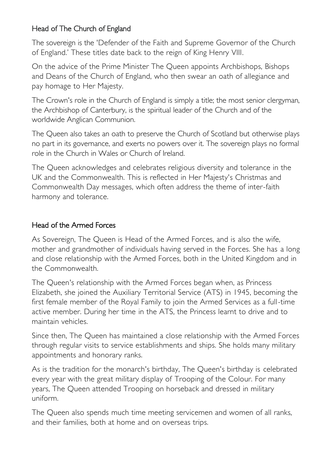# Head of The Church of England

The sovereign is the 'Defender of the Faith and Supreme Governor of the Church of England.' These titles date back to the reign of King Henry VIII.

On the advice of the Prime Minister The Queen appoints Archbishops, Bishops and Deans of the Church of England, who then swear an oath of allegiance and pay homage to Her Majesty.

The Crown's role in the Church of England is simply a title; the most senior clergyman, the [Archbishop of Canterbury,](https://en.wikipedia.org/wiki/Archbishop_of_Canterbury) is the spiritual leader of the Church and of the worldwide [Anglican Communion.](https://en.wikipedia.org/wiki/Anglican_Communion) 

The Queen also takes an oath to preserve the [Church of Scotland](https://en.wikipedia.org/wiki/Church_of_Scotland) but otherwise plays no part in its governance, and exerts no powers over it. The sovereign plays no formal role in the [Church in Wales](https://en.wikipedia.org/wiki/Church_in_Wales) or [Church of Ireland.](https://en.wikipedia.org/wiki/Church_of_Ireland)

The Queen acknowledges and celebrates religious diversity and tolerance in the UK and the Commonwealth. This is reflected in Her Majesty's Christmas and Commonwealth Day messages, which often address the theme of inter-faith harmony and tolerance.

#### Head of the Armed Forces

As Sovereign, The Queen is Head of the Armed Forces, and is also the wife, mother and grandmother of individuals having served in the Forces. She has a long and close relationship with the Armed Forces, both in the United Kingdom and in the Commonwealth.

The Queen's relationship with the Armed Forces began when, as Princess Elizabeth, she joined the Auxiliary Territorial Service (ATS) in 1945, becoming the first female member of the Royal Family to join the Armed Services as a full-time active member. During her time in the ATS, the Princess learnt to drive and to maintain vehicles.

Since then, The Queen has maintained a close relationship with the Armed Forces through regular visits to service establishments and ships. She holds many military appointments and honorary ranks.

As is the tradition for the monarch's birthday, The Queen's birthday is celebrated every year with the great military display of Trooping of the Colour. For many years, The Queen attended Trooping on horseback and dressed in military uniform.

The Queen also spends much time meeting servicemen and women of all ranks, and their families, both at home and on overseas trips.